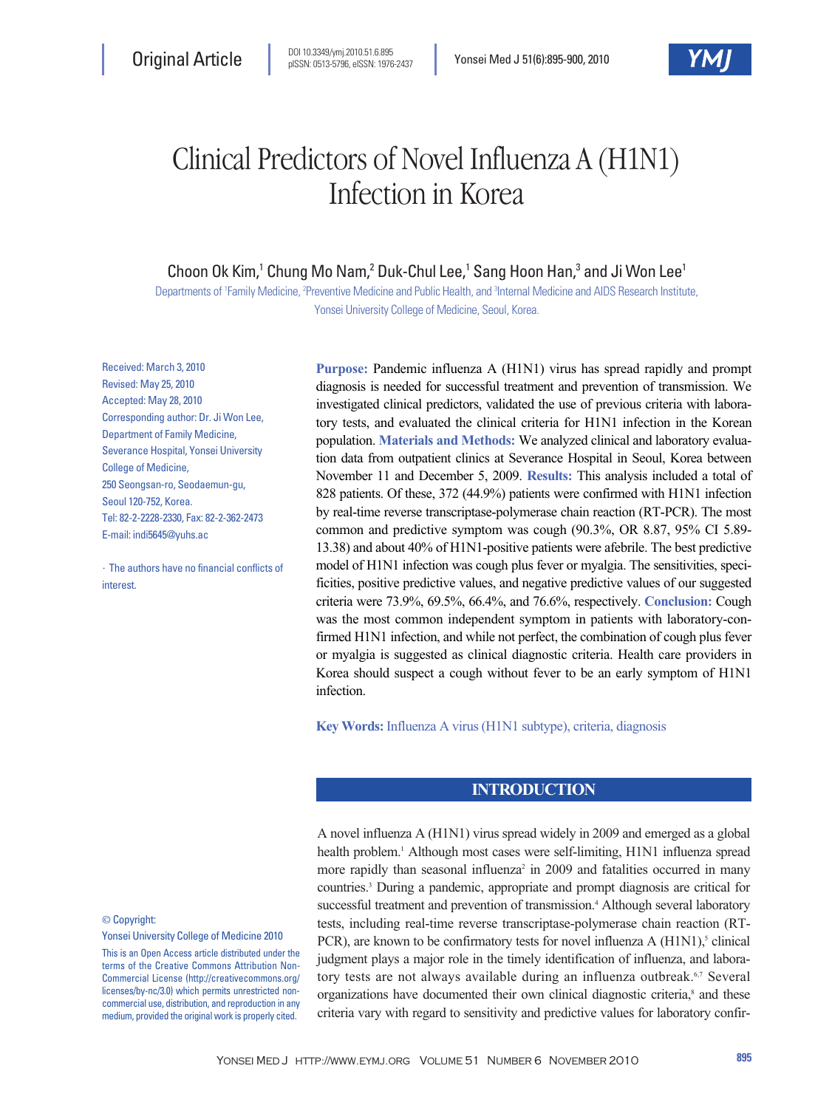

# Clinical Predictors of Novel Influenza A (H1N1) Infection in Korea

Choon Ok Kim,<sup>1</sup> Chung Mo Nam,<sup>2</sup> Duk-Chul Lee,<sup>1</sup> Sang Hoon Han,<sup>3</sup> and Ji Won Lee<sup>1</sup>

Departments of <sup>1</sup>Family Medicine, <sup>2</sup>Preventive Medicine and Public Health, and <sup>3</sup>Internal Medicine and AIDS Research Institute, Yonsei University College of Medicine, Seoul, Korea.

Received: March 3, 2010 Revised: May 25, 2010 Accepted: May 28, 2010 Corresponding author: Dr. Ji Won Lee, Department of Family Medicine, Severance Hospital, Yonsei University College of Medicine, 250 Seongsan-ro, Seodaemun-gu, Seoul 120-752, Korea. Tel: 82-2-2228-2330, Fax: 82-2-362-2473 E-mail: indi5645@yuhs.ac

∙The authors have no financial conflicts of **interest** 

**Purpose:** Pandemic influenza A (H1N1) virus has spread rapidly and prompt diagnosis is needed for successful treatment and prevention of transmission. We investigated clinical predictors, validated the use of previous criteria with laboratory tests, and evaluated the clinical criteria for H1N1 infection in the Korean population. **Materials and Methods:** We analyzed clinical and laboratory evaluation data from outpatient clinics at Severance Hospital in Seoul, Korea between November 11 and December 5, 2009. **Results:** This analysis included a total of 828 patients. Of these, 372 (44.9%) patients were confirmed with H1N1 infection by real-time reverse transcriptase-polymerase chain reaction (RT-PCR). The most common and predictive symptom was cough (90.3%, OR 8.87, 95% CI 5.89- 13.38) and about 40% of H1N1-positive patients were afebrile. The best predictive model of H1N1 infection was cough plus fever or myalgia. The sensitivities, specificities, positive predictive values, and negative predictive values of our suggested criteria were 73.9%, 69.5%, 66.4%, and 76.6%, respectively. **Conclusion:** Cough was the most common independent symptom in patients with laboratory-confirmed H1N1 infection, and while not perfect, the combination of cough plus fever or myalgia is suggested as clinical diagnostic criteria. Health care providers in Korea should suspect a cough without fever to be an early symptom of H1N1 infection.

**Key Words:** Influenza A virus (H1N1 subtype), criteria, diagnosis

## **INTRODUCTION**

A novel influenza A (H1N1) virus spread widely in 2009 and emerged as a global health problem.<sup>1</sup> Although most cases were self-limiting, H1N1 influenza spread more rapidly than seasonal influenza<sup>2</sup> in 2009 and fatalities occurred in many countries.3 During a pandemic, appropriate and prompt diagnosis are critical for successful treatment and prevention of transmission.<sup>4</sup> Although several laboratory tests, including real-time reverse transcriptase-polymerase chain reaction (RT-PCR), are known to be confirmatory tests for novel influenza A ( $H1N1$ ),<sup>5</sup> clinical judgment plays a major role in the timely identification of influenza, and laboratory tests are not always available during an influenza outbreak.<sup>6,7</sup> Several organizations have documented their own clinical diagnostic criteria,<sup>8</sup> and these criteria vary with regard to sensitivity and predictive values for laboratory confir-

© Copyright:

#### Yonsei University College of Medicine 2010

This is an Open Access article distributed under the terms of the Creative Commons Attribution Non-Commercial License (http://creativecommons.org/ licenses/by-nc/3.0) which permits unrestricted noncommercial use, distribution, and reproduction in any medium, provided the original work is properly cited.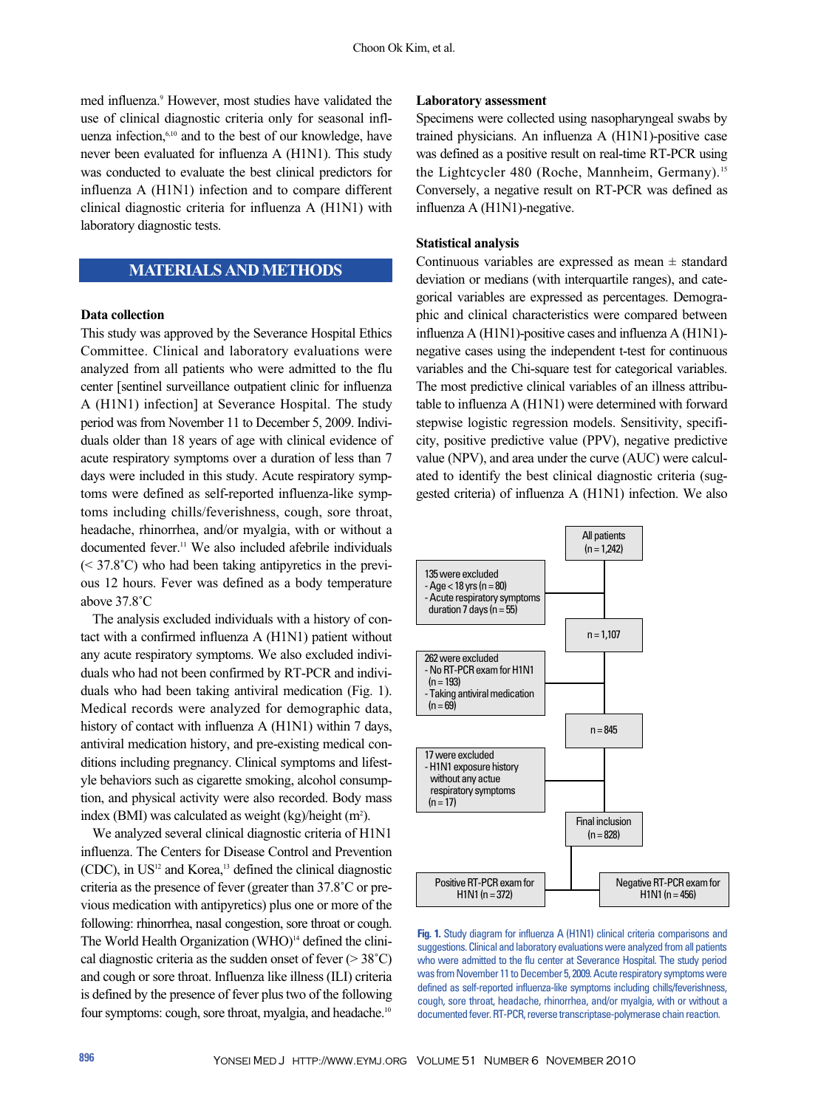med influenza.<sup>9</sup> However, most studies have validated the use of clinical diagnostic criteria only for seasonal influenza infection,6,10 and to the best of our knowledge, have never been evaluated for influenza A (H1N1). This study was conducted to evaluate the best clinical predictors for influenza A (H1N1) infection and to compare different clinical diagnostic criteria for influenza A (H1N1) with laboratory diagnostic tests.

# **MATERIALS AND METHODS**

#### **Data collection**

This study was approved by the Severance Hospital Ethics Committee. Clinical and laboratory evaluations were analyzed from all patients who were admitted to the flu center [sentinel surveillance outpatient clinic for influenza A (H1N1) infection] at Severance Hospital. The study period was from November 11 to December 5, 2009. Individuals older than 18 years of age with clinical evidence of acute respiratory symptoms over a duration of less than 7 days were included in this study. Acute respiratory symptoms were defined as self-reported influenza-like symptoms including chills/feverishness, cough, sore throat, headache, rhinorrhea, and/or myalgia, with or without a documented fever.11 We also included afebrile individuals  $(< 37.8^{\circ}$ C) who had been taking antipyretics in the previous 12 hours. Fever was defined as a body temperature above 37.8˚C

The analysis excluded individuals with a history of contact with a confirmed influenza A (H1N1) patient without any acute respiratory symptoms. We also excluded individuals who had not been confirmed by RT-PCR and individuals who had been taking antiviral medication (Fig. 1). Medical records were analyzed for demographic data, history of contact with influenza A (H1N1) within 7 days, antiviral medication history, and pre-existing medical conditions including pregnancy. Clinical symptoms and lifestyle behaviors such as cigarette smoking, alcohol consumption, and physical activity were also recorded. Body mass index (BMI) was calculated as weight (kg)/height (m<sup>2</sup>).

We analyzed several clinical diagnostic criteria of H1N1 influenza. The Centers for Disease Control and Prevention  $(CDC)$ , in US<sup>12</sup> and Korea,<sup>13</sup> defined the clinical diagnostic criteria as the presence of fever (greater than 37.8˚C or previous medication with antipyretics) plus one or more of the following: rhinorrhea, nasal congestion, sore throat or cough. The World Health Organization (WHO)<sup>14</sup> defined the clinical diagnostic criteria as the sudden onset of fever ( $> 38^{\circ}$ C) and cough or sore throat. Influenza like illness (ILI) criteria is defined by the presence of fever plus two of the following four symptoms: cough, sore throat, myalgia, and headache.<sup>10</sup>

#### **Laboratory assessment**

Specimens were collected using nasopharyngeal swabs by trained physicians. An influenza A (H1N1)-positive case was defined as a positive result on real-time RT-PCR using the Lightcycler 480 (Roche, Mannheim, Germany).<sup>15</sup> Conversely, a negative result on RT-PCR was defined as influenza A (H1N1)-negative.

#### **Statistical analysis**

Continuous variables are expressed as mean  $\pm$  standard deviation or medians (with interquartile ranges), and categorical variables are expressed as percentages. Demographic and clinical characteristics were compared between influenza A (H1N1)-positive cases and influenza A (H1N1) negative cases using the independent t-test for continuous variables and the Chi-square test for categorical variables. The most predictive clinical variables of an illness attributable to influenza A (H1N1) were determined with forward stepwise logistic regression models. Sensitivity, specificity, positive predictive value (PPV), negative predictive value (NPV), and area under the curve (AUC) were calculated to identify the best clinical diagnostic criteria (suggested criteria) of influenza A (H1N1) infection. We also



**Fig. 1.** Study diagram for influenza A (H1N1) clinical criteria comparisons and suggestions. Clinical and laboratory evaluations were analyzed from all patients who were admitted to the flu center at Severance Hospital. The study period was from November 11 to December 5, 2009. Acute respiratory symptoms were defined as self-reported influenza-like symptoms including chills/feverishness, cough, sore throat, headache, rhinorrhea, and/or myalgia, with or without a documented fever. RT-PCR, reverse transcriptase-polymerase chain reaction.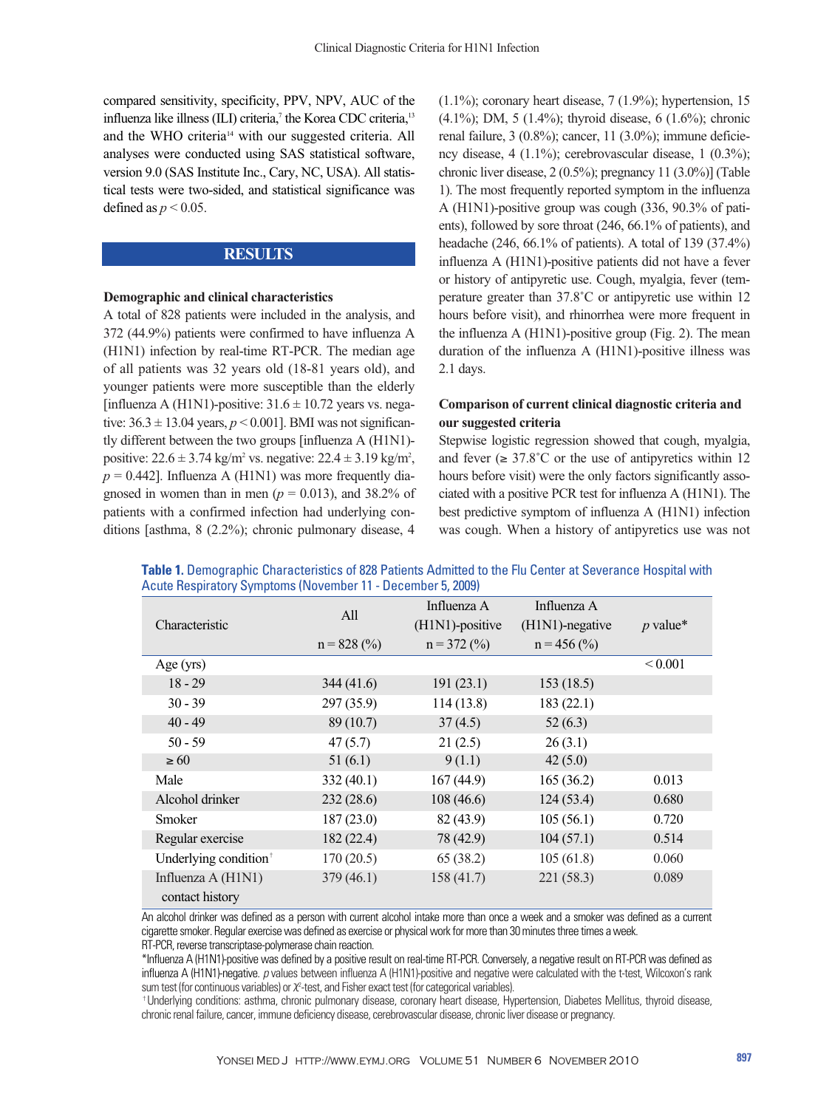compared sensitivity, specificity, PPV, NPV, AUC of the influenza like illness (ILI) criteria,<sup>7</sup> the Korea CDC criteria,<sup>13</sup> and the WHO criteria<sup>14</sup> with our suggested criteria. All analyses were conducted using SAS statistical software, version 9.0 (SAS Institute Inc., Cary, NC, USA). All statistical tests were two-sided, and statistical significance was defined as  $p < 0.05$ .

## **RESULTS**

#### **Demographic and clinical characteristics**

A total of 828 patients were included in the analysis, and 372 (44.9%) patients were confirmed to have influenza A (H1N1) infection by real-time RT-PCR. The median age of all patients was 32 years old (18-81 years old), and younger patients were more susceptible than the elderly [influenza A (H1N1)-positive:  $31.6 \pm 10.72$  years vs. negative:  $36.3 \pm 13.04$  years,  $p \le 0.001$ ]. BMI was not significantly different between the two groups [influenza A (H1N1) positive:  $22.6 \pm 3.74$  kg/m<sup>2</sup> vs. negative:  $22.4 \pm 3.19$  kg/m<sup>2</sup>,  $p = 0.442$ ]. Influenza A (H1N1) was more frequently diagnosed in women than in men ( $p = 0.013$ ), and 38.2% of patients with a confirmed infection had underlying conditions [asthma, 8 (2.2%); chronic pulmonary disease, 4

 $(1.1\%)$ ; coronary heart disease,  $7(1.9\%)$ ; hypertension, 15 (4.1%); DM, 5 (1.4%); thyroid disease, 6 (1.6%); chronic renal failure, 3 (0.8%); cancer, 11 (3.0%); immune deficiency disease, 4 (1.1%); cerebrovascular disease, 1 (0.3%); chronic liver disease, 2 (0.5%); pregnancy 11 (3.0%)] (Table 1). The most frequently reported symptom in the influenza A (H1N1)-positive group was cough (336, 90.3% of patients), followed by sore throat (246, 66.1% of patients), and headache (246, 66.1% of patients). A total of 139 (37.4%) influenza A (H1N1)-positive patients did not have a fever or history of antipyretic use. Cough, myalgia, fever (temperature greater than 37.8˚C or antipyretic use within 12 hours before visit), and rhinorrhea were more frequent in the influenza A (H1N1)-positive group (Fig. 2). The mean duration of the influenza A (H1N1)-positive illness was 2.1 days.

## **Comparison of current clinical diagnostic criteria and our suggested criteria**

Stepwise logistic regression showed that cough, myalgia, and fever  $(\geq 37.8^{\circ} \text{C}$  or the use of antipyretics within 12 hours before visit) were the only factors significantly associated with a positive PCR test for influenza A (H1N1). The best predictive symptom of influenza A (H1N1) infection was cough. When a history of antipyretics use was not

| Characteristic                    | All           | Influenza A     | Influenza A        |              |
|-----------------------------------|---------------|-----------------|--------------------|--------------|
|                                   |               | (H1N1)-positive | $(H1N1)$ -negative | $p$ value*   |
|                                   | $n = 828$ (%) | $n = 372$ (%)   | $n = 456$ (%)      |              |
| Age $(yrs)$                       |               |                 |                    | ${}_{0.001}$ |
| $18 - 29$                         | 344(41.6)     | 191(23.1)       | 153(18.5)          |              |
| $30 - 39$                         | 297(35.9)     | 114(13.8)       | 183(22.1)          |              |
| $40 - 49$                         | 89(10.7)      | 37(4.5)         | 52(6.3)            |              |
| $50 - 59$                         | 47(5.7)       | 21(2.5)         | 26(3.1)            |              |
| $\geq 60$                         | 51(6.1)       | 9(1.1)          | 42(5.0)            |              |
| Male                              | 332(40.1)     | 167(44.9)       | 165(36.2)          | 0.013        |
| Alcohol drinker                   | 232(28.6)     | 108(46.6)       | 124(53.4)          | 0.680        |
| <b>Smoker</b>                     | 187(23.0)     | 82 (43.9)       | 105(56.1)          | 0.720        |
| Regular exercise                  | 182(22.4)     | 78 (42.9)       | 104(57.1)          | 0.514        |
| Underlying condition <sup>+</sup> | 170(20.5)     | 65(38.2)        | 105(61.8)          | 0.060        |
| Influenza A (H1N1)                | 379(46.1)     | 158(41.7)       | 221(58.3)          | 0.089        |
| contact history                   |               |                 |                    |              |

**Table 1.** Demographic Characteristics of 828 Patients Admitted to the Flu Center at Severance Hospital with Acute Respiratory Symptoms (November 11 - December 5, 2009)

An alcohol drinker was defined as a person with current alcohol intake more than once a week and a smoker was defined as a current cigarette smoker. Regular exercise was defined as exercise or physical work for more than 30 minutes three times a week. RT-PCR, reverse transcriptase-polymerase chain reaction.

\*Influenza A (H1N1)-positive was defined by a positive result on real-time RT-PCR. Conversely, a negative result on RT-PCR was defined as influenza A (H1N1)-negative. *p* values between influenza A (H1N1)-positive and negative were calculated with the t-test, Wilcoxon's rank sum test (for continuous variables) or x<sup>2</sup>-test, and Fisher exact test (for categorical variables).

�Underlying conditions: asthma, chronic pulmonary disease, coronary heart disease, Hypertension, Diabetes Mellitus, thyroid disease, chronic renal failure, cancer, immune deficiency disease, cerebrovascular disease, chronic liver disease or pregnancy.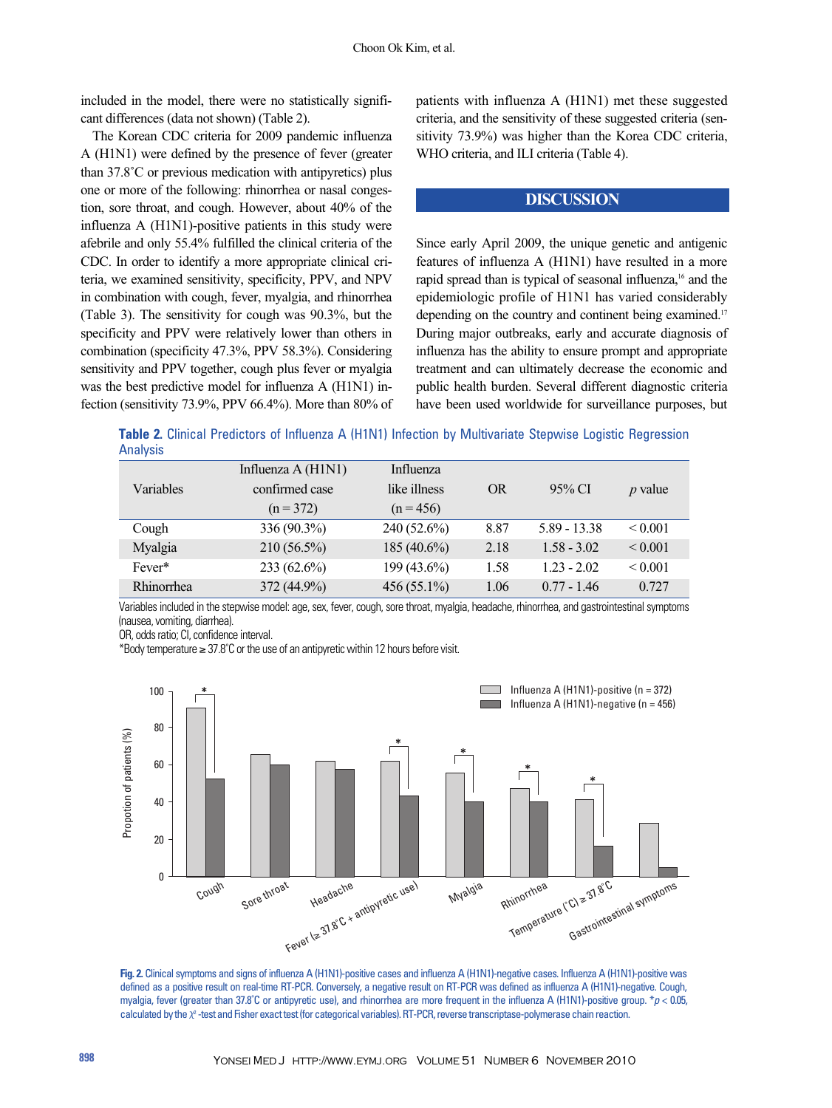included in the model, there were no statistically significant differences (data not shown) (Table 2).

The Korean CDC criteria for 2009 pandemic influenza A (H1N1) were defined by the presence of fever (greater than 37.8˚C or previous medication with antipyretics) plus one or more of the following: rhinorrhea or nasal congestion, sore throat, and cough. However, about 40% of the influenza A (H1N1)-positive patients in this study were afebrile and only 55.4% fulfilled the clinical criteria of the CDC. In order to identify a more appropriate clinical criteria, we examined sensitivity, specificity, PPV, and NPV in combination with cough, fever, myalgia, and rhinorrhea (Table 3). The sensitivity for cough was 90.3%, but the specificity and PPV were relatively lower than others in combination (specificity 47.3%, PPV 58.3%). Considering sensitivity and PPV together, cough plus fever or myalgia was the best predictive model for influenza A (H1N1) infection (sensitivity 73.9%, PPV 66.4%). More than 80% of patients with influenza A (H1N1) met these suggested criteria, and the sensitivity of these suggested criteria (sensitivity 73.9%) was higher than the Korea CDC criteria, WHO criteria, and ILI criteria (Table 4).

## **DISCUSSION**

Since early April 2009, the unique genetic and antigenic features of influenza A (H1N1) have resulted in a more rapid spread than is typical of seasonal influenza,<sup>16</sup> and the epidemiologic profile of H1N1 has varied considerably depending on the country and continent being examined.<sup>17</sup> During major outbreaks, early and accurate diagnosis of influenza has the ability to ensure prompt and appropriate treatment and can ultimately decrease the economic and public health burden. Several different diagnostic criteria have been used worldwide for surveillance purposes, but

**Table 2.** Clinical Predictors of Influenza A (H1N1) Infection by Multivariate Stepwise Logistic Regression Analysis

|            | Influenza $A(H1N1)$ | Influenza     |           |               |              |
|------------|---------------------|---------------|-----------|---------------|--------------|
| Variables  | confirmed case      | like illness  | <b>OR</b> | 95% CI        | $p$ value    |
|            | $(n = 372)$         | $(n = 456)$   |           |               |              |
| Cough      | 336 (90.3%)         | 240 (52.6%)   | 8.87      | 5.89 - 13.38  | ${}_{0.001}$ |
| Myalgia    | $210(56.5\%)$       | $185(40.6\%)$ | 2.18      | $1.58 - 3.02$ | ${}_{0.001}$ |
| Fever*     | $233(62.6\%)$       | 199 (43.6%)   | 1.58      | $1.23 - 2.02$ | ${}_{0.001}$ |
| Rhinorrhea | 372 (44.9%)         | $456(55.1\%)$ | 1.06      | $0.77 - 1.46$ | 0.727        |

Variables included in the stepwise model: age, sex, fever, cough, sore throat, myalgia, headache, rhinorrhea, and gastrointestinal symptoms (nausea, vomiting, diarrhea).

OR, odds ratio; CI, confidence interval.

\*Body temperature ≥ 37.8˚C or the use of an antipyretic within 12 hours before visit.



**Fig. 2.** Clinical symptoms and signs of influenza A (H1N1)-positive cases and influenza A (H1N1)-negative cases. Influenza A (H1N1)-positive was defined as a positive result on real-time RT-PCR. Conversely, a negative result on RT-PCR was defined as influenza A (H1N1)-negative. Cough, myalgia, fever (greater than 37.8˚C or antipyretic use), and rhinorrhea are more frequent in the influenza A (H1N1)-positive group. \**p* < 0.05, calculated by the χ<sup>2</sup> -test and Fisher exact test (for categorical variables). RT-PCR, reverse transcriptase-polymerase chain reaction.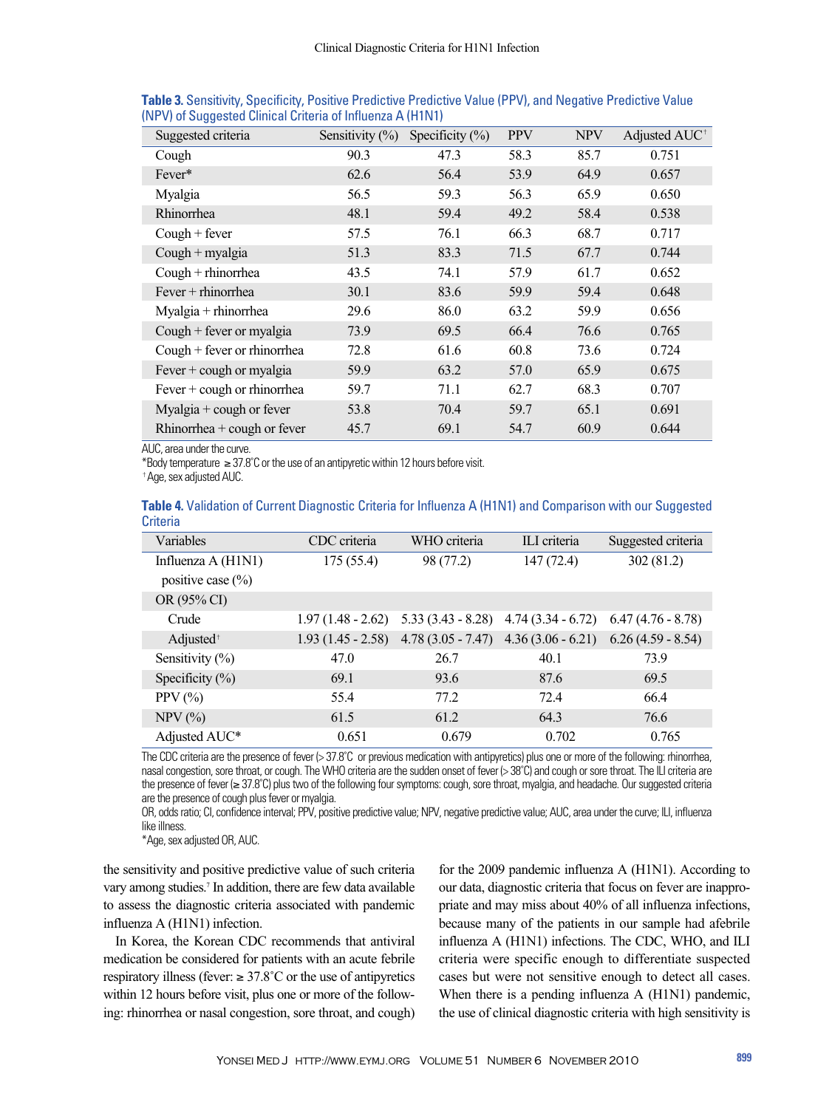| Suggested criteria            | Sensitivity $(\%)$ | Specificity $(\% )$ | <b>PPV</b> | <b>NPV</b> | Adjusted AUC <sup>+</sup> |
|-------------------------------|--------------------|---------------------|------------|------------|---------------------------|
| Cough                         | 90.3               | 47.3                | 58.3       | 85.7       | 0.751                     |
| Fever*                        | 62.6               | 56.4                | 53.9       | 64.9       | 0.657                     |
| Myalgia                       | 56.5               | 59.3                | 56.3       | 65.9       | 0.650                     |
| Rhinorrhea                    | 48.1               | 59.4                | 49.2       | 58.4       | 0.538                     |
| $Cough + fever$               | 57.5               | 76.1                | 66.3       | 68.7       | 0.717                     |
| $Cough + myalgia$             | 51.3               | 83.3                | 71.5       | 67.7       | 0.744                     |
| $Cough + rhinorrhea$          | 43.5               | 74.1                | 57.9       | 61.7       | 0.652                     |
| $Fever + rhinorrhea$          | 30.1               | 83.6                | 59.9       | 59.4       | 0.648                     |
| $Myalgia + rhinorrhea$        | 29.6               | 86.0                | 63.2       | 59.9       | 0.656                     |
| Cough $+$ fever or myalgia    | 73.9               | 69.5                | 66.4       | 76.6       | 0.765                     |
| Cough $+$ fever or rhinorrhea | 72.8               | 61.6                | 60.8       | 73.6       | 0.724                     |
| Fever $+$ cough or myalgia    | 59.9               | 63.2                | 57.0       | 65.9       | 0.675                     |
| Fever $+$ cough or rhinorrhea | 59.7               | 71.1                | 62.7       | 68.3       | 0.707                     |
| Myalgia + cough or fever      | 53.8               | 70.4                | 59.7       | 65.1       | 0.691                     |
| Rhinorrhea + cough or fever   | 45.7               | 69.1                | 54.7       | 60.9       | 0.644                     |

**Table 3.** Sensitivity, Specificity, Positive Predictive Predictive Value (PPV), and Negative Predictive Value (NPV) of Suggested Clinical Criteria of Influenza A (H1N1)

AUC, area under the curve.

\*Body temperature ≥ 37.8˚C or the use of an antipyretic within 12 hours before visit.

�Age, sex adjusted AUC.

**Table 4.** Validation of Current Diagnostic Criteria for Influenza A (H1N1) and Comparison with our Suggested **Criteria** 

| Variables             | CDC criteria        | WHO criteria        | ILI criteria        | Suggested criteria  |
|-----------------------|---------------------|---------------------|---------------------|---------------------|
| Influenza A (H1N1)    | 175(55.4)           | 98 (77.2)           | 147(72.4)           | 302 (81.2)          |
| positive case $(\% )$ |                     |                     |                     |                     |
| OR (95% CI)           |                     |                     |                     |                     |
| Crude                 | $1.97(1.48 - 2.62)$ | $5.33(3.43 - 8.28)$ | $4.74(3.34 - 6.72)$ | $6.47(4.76 - 8.78)$ |
| Adjusted <sup>+</sup> | $1.93(1.45 - 2.58)$ | $4.78(3.05 - 7.47)$ | $4.36(3.06 - 6.21)$ | $6.26(4.59 - 8.54)$ |
| Sensitivity $(\% )$   | 47.0                | 26.7                | 40.1                | 73.9                |
| Specificity $(\% )$   | 69.1                | 93.6                | 87.6                | 69.5                |
| PPV(%)                | 55.4                | 77.2                | 72.4                | 66.4                |
| $NPV$ $(\% )$         | 61.5                | 61.2                | 64.3                | 76.6                |
| Adjusted AUC*         | 0.651               | 0.679               | 0.702               | 0.765               |

The CDC criteria are the presence of fever (> 37.8°C or previous medication with antipyretics) plus one or more of the following: rhinorrhea, nasal congestion, sore throat, or cough. The WHO criteria are the sudden onset of fever (> 38°C) and cough or sore throat. The ILI criteria are the presence of fever (≥ 37.8˚C) plus two of the following four symptoms: cough, sore throat, myalgia, and headache. Our suggested criteria are the presence of cough plus fever or myalgia.

OR, odds ratio; CI, confidence interval; PPV, positive predictive value; NPV, negative predictive value; AUC, area under the curve; ILI, influenza like illness.

\*Age, sex adjusted OR, AUC.

the sensitivity and positive predictive value of such criteria vary among studies.<sup>7</sup> In addition, there are few data available to assess the diagnostic criteria associated with pandemic influenza A (H1N1) infection.

In Korea, the Korean CDC recommends that antiviral medication be considered for patients with an acute febrile respiratory illness (fever:  $\geq 37.8^{\circ}$ C or the use of antipyretics within 12 hours before visit, plus one or more of the following: rhinorrhea or nasal congestion, sore throat, and cough)

for the 2009 pandemic influenza A (H1N1). According to our data, diagnostic criteria that focus on fever are inappropriate and may miss about 40% of all influenza infections, because many of the patients in our sample had afebrile influenza A (H1N1) infections. The CDC, WHO, and ILI criteria were specific enough to differentiate suspected cases but were not sensitive enough to detect all cases. When there is a pending influenza A (H1N1) pandemic, the use of clinical diagnostic criteria with high sensitivity is